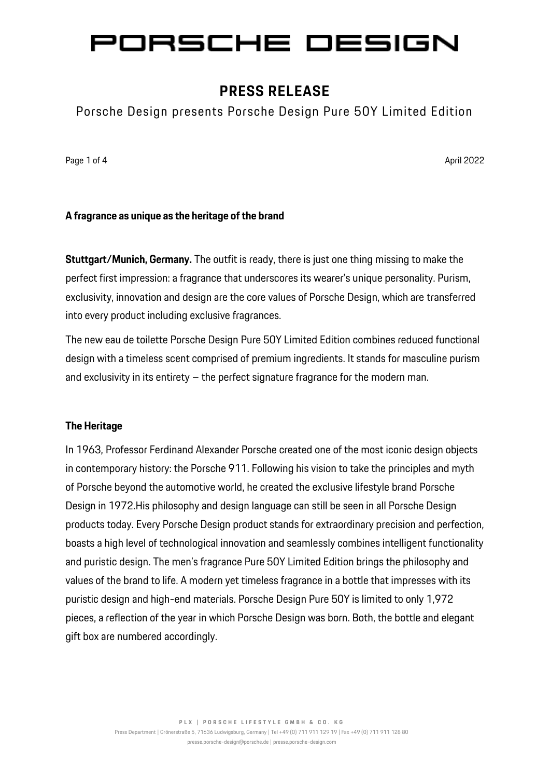# ORSCHE DESIGN

## **PRESS RELEASE**

Porsche Design presents Porsche Design Pure 50Y Limited Edition

Page 1 of 4 April 2022 April 2022 April 2022 April 2022 April 2022 April 2022 April 2022

## **A fragrance as unique as the heritage of the brand**

**Stuttgart/Munich, Germany.** The outfit is ready, there is just one thing missing to make the perfect first impression: a fragrance that underscores its wearer's unique personality. Purism, exclusivity, innovation and design are the core values of Porsche Design, which are transferred into every product including exclusive fragrances.

The new eau de toilette Porsche Design Pure 50Y Limited Edition combines reduced functional design with a timeless scent comprised of premium ingredients. It stands for masculine purism and exclusivity in its entirety – the perfect signature fragrance for the modern man.

### **The Heritage**

In 1963, Professor Ferdinand Alexander Porsche created one of the most iconic design objects in contemporary history: the Porsche 911. Following his vision to take the principles and myth of Porsche beyond the automotive world, he created the exclusive lifestyle brand Porsche Design in 1972.His philosophy and design language can still be seen in all Porsche Design products today. Every Porsche Design product stands for extraordinary precision and perfection, boasts a high level of technological innovation and seamlessly combines intelligent functionality and puristic design. The men's fragrance Pure 50Y Limited Edition brings the philosophy and values of the brand to life. A modern yet timeless fragrance in a bottle that impresses with its puristic design and high-end materials. Porsche Design Pure 50Y is limited to only 1,972 pieces, a reflection of the year in which Porsche Design was born. Both, the bottle and elegant gift box are numbered accordingly.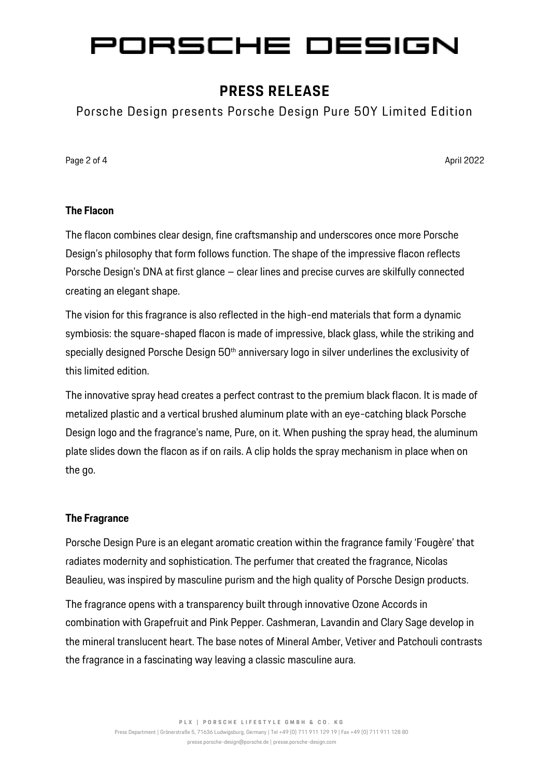# ORSCHE DESIGN

## **PRESS RELEASE**

Porsche Design presents Porsche Design Pure 50Y Limited Edition

Page 2 of 4 April 2022 April 2022 April 2022 April 2022 April 2022 April 2022 April 2022

### **The Flacon**

The flacon combines clear design, fine craftsmanship and underscores once more Porsche Design's philosophy that form follows function. The shape of the impressive flacon reflects Porsche Design's DNA at first glance – clear lines and precise curves are skilfully connected creating an elegant shape.

The vision for this fragrance is also reflected in the high-end materials that form a dynamic symbiosis: the square-shaped flacon is made of impressive, black glass, while the striking and specially designed Porsche Design 50<sup>th</sup> anniversary logo in silver underlines the exclusivity of this limited edition.

The innovative spray head creates a perfect contrast to the premium black flacon. It is made of metalized plastic and a vertical brushed aluminum plate with an eye-catching black Porsche Design logo and the fragrance's name, Pure, on it. When pushing the spray head, the aluminum plate slides down the flacon as if on rails. A clip holds the spray mechanism in place when on the go.

## **The Fragrance**

Porsche Design Pure is an elegant aromatic creation within the fragrance family 'Fougère' that radiates modernity and sophistication. The perfumer that created the fragrance, Nicolas Beaulieu, was inspired by masculine purism and the high quality of Porsche Design products.

The fragrance opens with a transparency built through innovative Ozone Accords in combination with Grapefruit and Pink Pepper. Cashmeran, Lavandin and Clary Sage develop in the mineral translucent heart. The base notes of Mineral Amber, Vetiver and Patchouli contrasts the fragrance in a fascinating way leaving a classic masculine aura.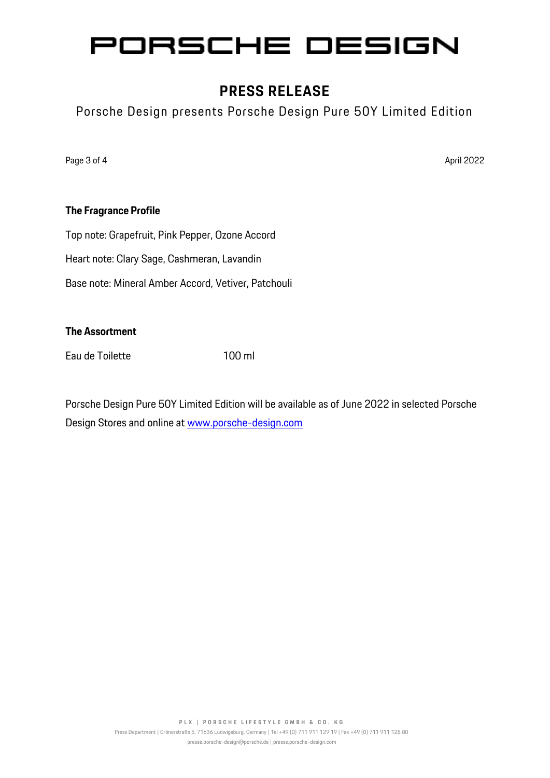## ORSCHE DESIGN P

## **PRESS RELEASE**

Porsche Design presents Porsche Design Pure 50Y Limited Edition

Page 3 of 4 April 2022 April 2022 April 2022 April 2022 April 2022 April 2022 April 2022

## **The Fragrance Profile**

Top note: Grapefruit, Pink Pepper, Ozone Accord

Heart note: Clary Sage, Cashmeran, Lavandin

Base note: Mineral Amber Accord, Vetiver, Patchouli

## **The Assortment**

Eau de Toilette 100 ml

Porsche Design Pure 50Y Limited Edition will be available as of June 2022 in selected Porsche Design Stores and online at [www.porsche-design.com](http://www.porsche-design.com/)